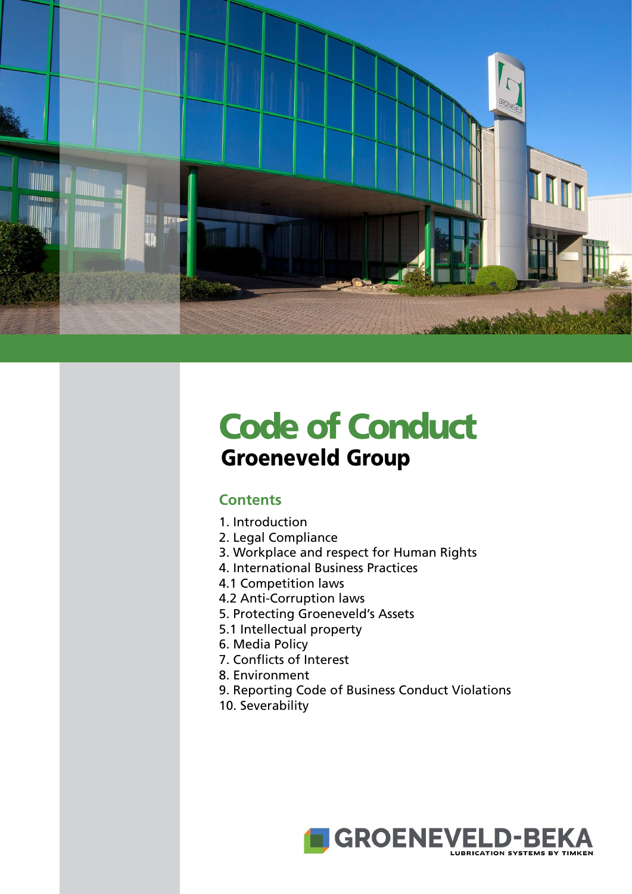

# Code of Conduct Groeneveld Group

## **Contents**

- [1. Introduction](#page-1-0)
- [2. Legal Compliance](#page-1-0)
- [3. Workplace and respect for Human Rights](#page-1-0)
- [4. International Business Practices](#page-1-0)
- [4.1 Competition laws](#page-1-0)
- [4.2 Anti-Corruption laws](#page-1-0)
- [5. Protecting Groeneveld's Assets](#page-1-0)
- [5.1 Intellectual property](#page-1-0)
- [6. Media Policy](#page-1-0)
- [7. Conflicts of Interest](#page-1-0)
- [8. Environment](#page-1-0)
- [9. Reporting Code of Business Conduct Violations](#page-1-0)
- [10. Severability](#page-1-0)